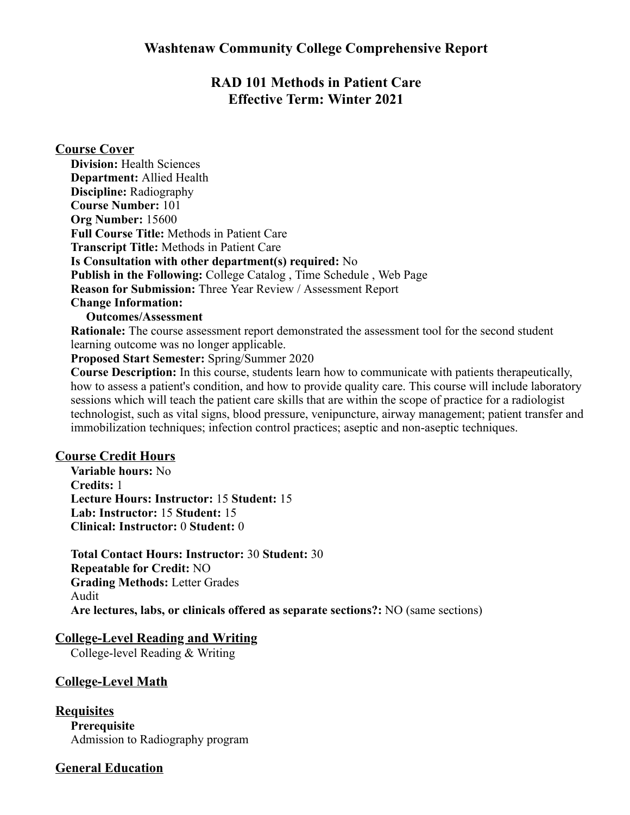## **RAD 101 Methods in Patient Care Effective Term: Winter 2021**

#### **Course Cover**

**Division:** Health Sciences **Department:** Allied Health **Discipline:** Radiography **Course Number:** 101 **Org Number:** 15600 **Full Course Title:** Methods in Patient Care **Transcript Title:** Methods in Patient Care **Is Consultation with other department(s) required:** No **Publish in the Following:** College Catalog , Time Schedule , Web Page **Reason for Submission:** Three Year Review / Assessment Report **Change Information:**

#### **Outcomes/Assessment**

**Rationale:** The course assessment report demonstrated the assessment tool for the second student learning outcome was no longer applicable.

**Proposed Start Semester:** Spring/Summer 2020

**Course Description:** In this course, students learn how to communicate with patients therapeutically, how to assess a patient's condition, and how to provide quality care. This course will include laboratory sessions which will teach the patient care skills that are within the scope of practice for a radiologist technologist, such as vital signs, blood pressure, venipuncture, airway management; patient transfer and immobilization techniques; infection control practices; aseptic and non-aseptic techniques.

#### **Course Credit Hours**

**Variable hours:** No **Credits:** 1 **Lecture Hours: Instructor:** 15 **Student:** 15 **Lab: Instructor:** 15 **Student:** 15 **Clinical: Instructor:** 0 **Student:** 0

**Total Contact Hours: Instructor:** 30 **Student:** 30 **Repeatable for Credit:** NO **Grading Methods:** Letter Grades Audit **Are lectures, labs, or clinicals offered as separate sections?:** NO (same sections)

## **College-Level Reading and Writing**

College-level Reading & Writing

#### **College-Level Math**

**Requisites Prerequisite** Admission to Radiography program

## **General Education**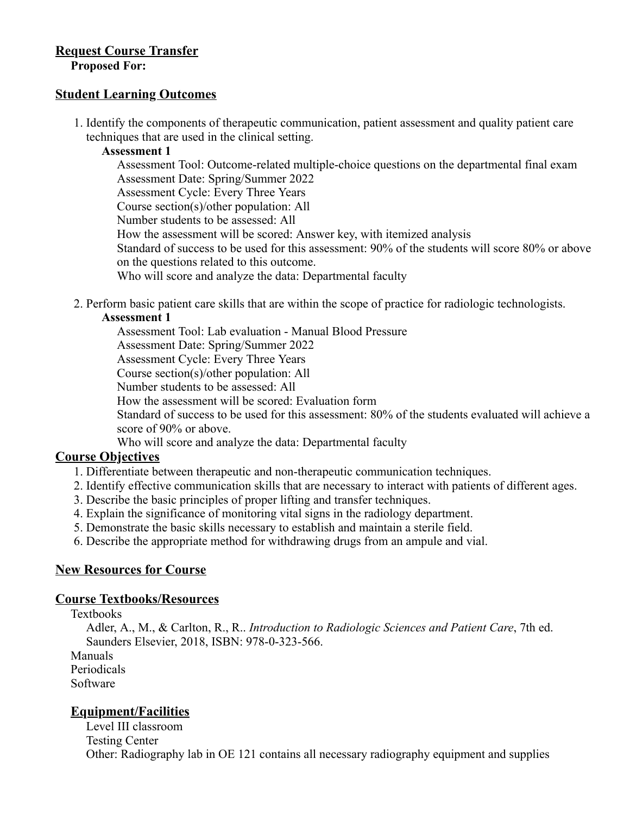# **Request Course Transfer**

**Proposed For:**

#### **Student Learning Outcomes**

1. Identify the components of therapeutic communication, patient assessment and quality patient care techniques that are used in the clinical setting.

#### **Assessment 1**

Assessment Tool: Outcome-related multiple-choice questions on the departmental final exam Assessment Date: Spring/Summer 2022 Assessment Cycle: Every Three Years Course section(s)/other population: All Number students to be assessed: All How the assessment will be scored: Answer key, with itemized analysis Standard of success to be used for this assessment: 90% of the students will score 80% or above on the questions related to this outcome. Who will score and analyze the data: Departmental faculty

2. Perform basic patient care skills that are within the scope of practice for radiologic technologists.

#### **Assessment 1**

Assessment Tool: Lab evaluation - Manual Blood Pressure Assessment Date: Spring/Summer 2022 Assessment Cycle: Every Three Years Course section(s)/other population: All Number students to be assessed: All How the assessment will be scored: Evaluation form Standard of success to be used for this assessment: 80% of the students evaluated will achieve a score of 90% or above. Who will score and analyze the data: Departmental faculty

## **Course Objectives**

- 1. Differentiate between therapeutic and non-therapeutic communication techniques.
- 2. Identify effective communication skills that are necessary to interact with patients of different ages.
- 3. Describe the basic principles of proper lifting and transfer techniques.
- 4. Explain the significance of monitoring vital signs in the radiology department.
- 5. Demonstrate the basic skills necessary to establish and maintain a sterile field.
- 6. Describe the appropriate method for withdrawing drugs from an ampule and vial.

## **New Resources for Course**

#### **Course Textbooks/Resources**

#### Textbooks

Adler, A., M., & Carlton, R., R.. *Introduction to Radiologic Sciences and Patient Care*, 7th ed. Saunders Elsevier, 2018, ISBN: 978-0-323-566.

Manuals

Periodicals

Software

## **Equipment/Facilities**

Level III classroom Testing Center Other: Radiography lab in OE 121 contains all necessary radiography equipment and supplies